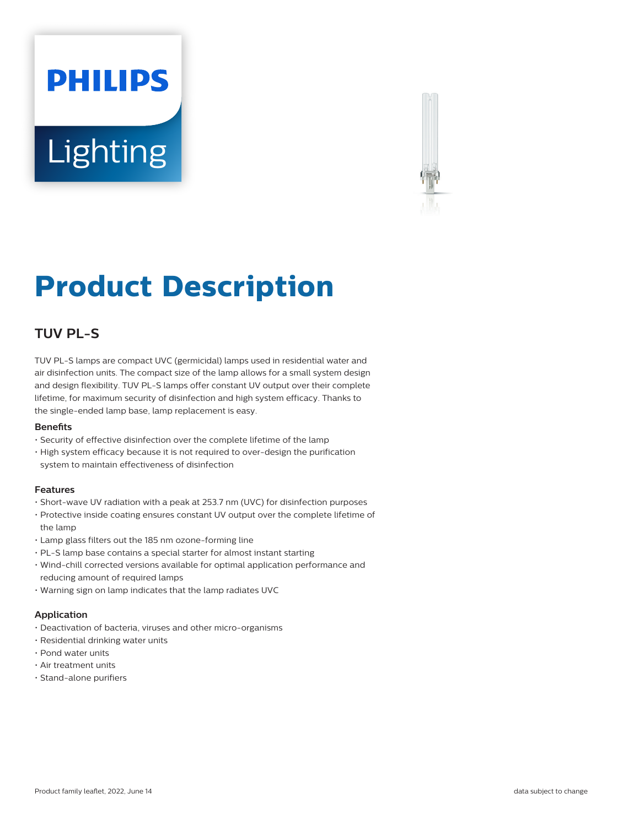# **PHILIPS Lighting**



## **Product Description**

### **TUV PL-S**

TUV PL-S lamps are compact UVC (germicidal) lamps used in residential water and air disinfection units. The compact size of the lamp allows for a small system design and design flexibility. TUV PL-S lamps offer constant UV output over their complete lifetime, for maximum security of disinfection and high system efficacy. Thanks to the single-ended lamp base, lamp replacement is easy.

#### **Benefits**

- Security of effective disinfection over the complete lifetime of the lamp
- High system efficacy because it is not required to over-design the purification system to maintain effectiveness of disinfection

#### **Features**

- Short-wave UV radiation with a peak at 253.7 nm (UVC) for disinfection purposes
- Protective inside coating ensures constant UV output over the complete lifetime of the lamp
- Lamp glass filters out the 185 nm ozone-forming line
- PL-S lamp base contains a special starter for almost instant starting
- Wind-chill corrected versions available for optimal application performance and reducing amount of required lamps
- Warning sign on lamp indicates that the lamp radiates UVC

#### **Application**

- Deactivation of bacteria, viruses and other micro-organisms
- Residential drinking water units
- Pond water units
- Air treatment units
- Stand-alone purifiers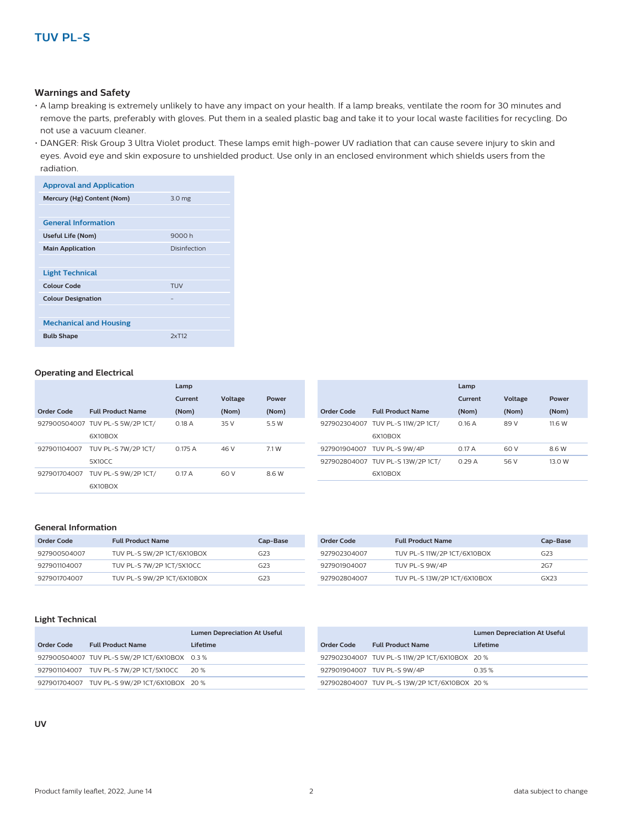#### **Warnings and Safety**

- A lamp breaking is extremely unlikely to have any impact on your health. If a lamp breaks, ventilate the room for 30 minutes and remove the parts, preferably with gloves. Put them in a sealed plastic bag and take it to your local waste facilities for recycling. Do not use a vacuum cleaner.
- DANGER: Risk Group 3 Ultra Violet product. These lamps emit high-power UV radiation that can cause severe injury to skin and eyes. Avoid eye and skin exposure to unshielded product. Use only in an enclosed environment which shields users from the radiation.

| <b>Approval and Application</b> |              |
|---------------------------------|--------------|
| Mercury (Hg) Content (Nom)      | 3.0 mg       |
|                                 |              |
| <b>General Information</b>      |              |
| Useful Life (Nom)               | 9000 h       |
| <b>Main Application</b>         | Disinfection |
|                                 |              |
| <b>Light Technical</b>          |              |
| Colour Code                     | <b>TUV</b>   |
| <b>Colour Designation</b>       |              |
|                                 |              |
| <b>Mechanical and Housing</b>   |              |
| <b>Bulb Shape</b>               | 2xT12        |

#### **Operating and Electrical**

|              |                                  | Lamp    |         |       |
|--------------|----------------------------------|---------|---------|-------|
|              |                                  | Current | Voltage | Power |
| Order Code   | <b>Full Product Name</b>         | (Nom)   | (Nom)   | (Nom) |
|              | 927900504007 TUV PL-S 5W/2P 1CT/ | 0.18A   | 35 V    | 5.5 W |
|              | 6X10BOX                          |         |         |       |
| 927901104007 | TUV PL-S 7W/2P 1CT/              | 0.175A  | 46 V    | 7.1 W |
|              | 5X10CC                           |         |         |       |
| 927901704007 | TUV PL-S 9W/2P 1CT/              | 0.17A   | 60 V    | 8.6 W |
|              | 6X10BOX                          |         |         |       |

|                   |                                   | Lamp    |         |        |
|-------------------|-----------------------------------|---------|---------|--------|
|                   |                                   | Current | Voltage | Power  |
| <b>Order Code</b> | <b>Full Product Name</b>          | (Nom)   | (Nom)   | (Nom)  |
|                   | 927902304007 TUV PL-S 11W/2P 1CT/ | 0.16A   | 89 V    | 11.6 W |
|                   | 6X10BOX                           |         |         |        |
|                   | 927901904007 TUV PL-S 9W/4P       | 0.17A   | 60 V    | 8.6 W  |
|                   | 927902804007 TUV PL-S 13W/2P 1CT/ | 0.29A   | 56 V    | 13.0 W |
|                   | 6X10BOX                           |         |         |        |

#### **General Information**

| Order Code   | <b>Full Product Name</b>   | Cap-Base        |
|--------------|----------------------------|-----------------|
| 927900504007 | TUV PL-S 5W/2P 1CT/6X10BOX | G <sub>23</sub> |
| 927901104007 | TUV PL-S 7W/2P 1CT/5X10CC  | G <sub>23</sub> |
| 927901704007 | TUV PL-S 9W/2P 1CT/6X10BOX | G23             |

| Order Code   | <b>Full Product Name</b>    | Cap-Base        |
|--------------|-----------------------------|-----------------|
| 927902304007 | TUV PL-S 11W/2P 1CT/6X10BOX | G <sub>23</sub> |
| 927901904007 | TUV PL-S 9W/4P              | 2G7             |
| 927902804007 | TUV PL-S 13W/2P 1CT/6X10BOX | GX23            |

#### **Light Technical**

|            |                                               | <b>Lumen Depreciation At Useful</b> |
|------------|-----------------------------------------------|-------------------------------------|
| Order Code | <b>Full Product Name</b>                      | Lifetime                            |
|            | 927900504007 TUV PL-S 5W/2P 1CT/6X10BOX 0.3 % |                                     |
|            | 927901104007 TUV PL-S 7W/2P 1CT/5X10CC 20 %   |                                     |
|            | 927901704007 TUV PL-S 9W/2P 1CT/6X10BOX 20 %  |                                     |

|            |                                               | <b>Lumen Depreciation At Useful</b> |  |
|------------|-----------------------------------------------|-------------------------------------|--|
| Order Code | <b>Full Product Name</b>                      | Lifetime                            |  |
|            | 927902304007 TUV PL-S 11W/2P 1CT/6X10BOX 20 % |                                     |  |
|            | 927901904007 TUV PL-S 9W/4P                   | 0.35%                               |  |
|            | 927902804007 TUV PL-S 13W/2P 1CT/6X10BOX 20 % |                                     |  |

**UV**